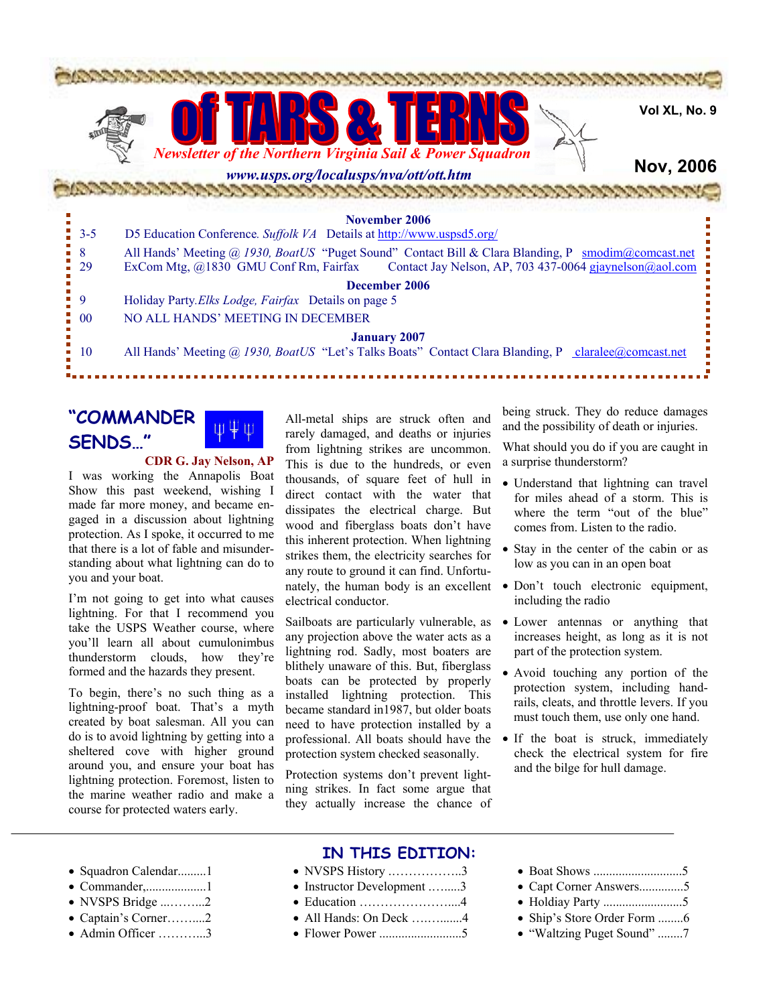

## **"COMMANDER SENDS…"**

**CDR G. Jay Nelson, AP** 

I was working the Annapolis Boat Show this past weekend, wishing I made far more money, and became engaged in a discussion about lightning protection. As I spoke, it occurred to me that there is a lot of fable and misunderstanding about what lightning can do to you and your boat.

I'm not going to get into what causes lightning. For that I recommend you take the USPS Weather course, where you'll learn all about cumulonimbus thunderstorm clouds, how they're formed and the hazards they present.

To begin, there's no such thing as a lightning-proof boat. That's a myth created by boat salesman. All you can do is to avoid lightning by getting into a sheltered cove with higher ground around you, and ensure your boat has lightning protection. Foremost, listen to the marine weather radio and make a course for protected waters early.

All-metal ships are struck often and rarely damaged, and deaths or injuries from lightning strikes are uncommon. This is due to the hundreds, or even thousands, of square feet of hull in direct contact with the water that dissipates the electrical charge. But wood and fiberglass boats don't have this inherent protection. When lightning strikes them, the electricity searches for any route to ground it can find. Unfortunately, the human body is an excellent electrical conductor.

Sailboats are particularly vulnerable, as any projection above the water acts as a lightning rod. Sadly, most boaters are blithely unaware of this. But, fiberglass boats can be protected by properly installed lightning protection. This became standard in1987, but older boats need to have protection installed by a professional. All boats should have the protection system checked seasonally.

Protection systems don't prevent lightning strikes. In fact some argue that they actually increase the chance of being struck. They do reduce damages and the possibility of death or injuries.

What should you do if you are caught in a surprise thunderstorm?

- Understand that lightning can travel for miles ahead of a storm. This is where the term "out of the blue" comes from. Listen to the radio.
- Stay in the center of the cabin or as low as you can in an open boat
- Don't touch electronic equipment, including the radio
- Lower antennas or anything that increases height, as long as it is not part of the protection system.
- Avoid touching any portion of the protection system, including handrails, cleats, and throttle levers. If you must touch them, use only one hand.
- If the boat is struck, immediately check the electrical system for fire and the bilge for hull damage.

- Squadron Calendar.........1
- Commander,...................1
- NVSPS Bridge .............2
- Captain's Corner……....2
- Admin Officer …………3

## **IN THIS EDITION:**

- NVSPS History .……………..3
- Instructor Development .........3
- Education …………………....4
- All Hands: On Deck …...........4
- Flower Power ..........................5
- Boat Shows ............................5
- Capt Corner Answers..............5
- Holdiay Party .........................5
- Ship's Store Order Form ........6
- "Waltzing Puget Sound" ........7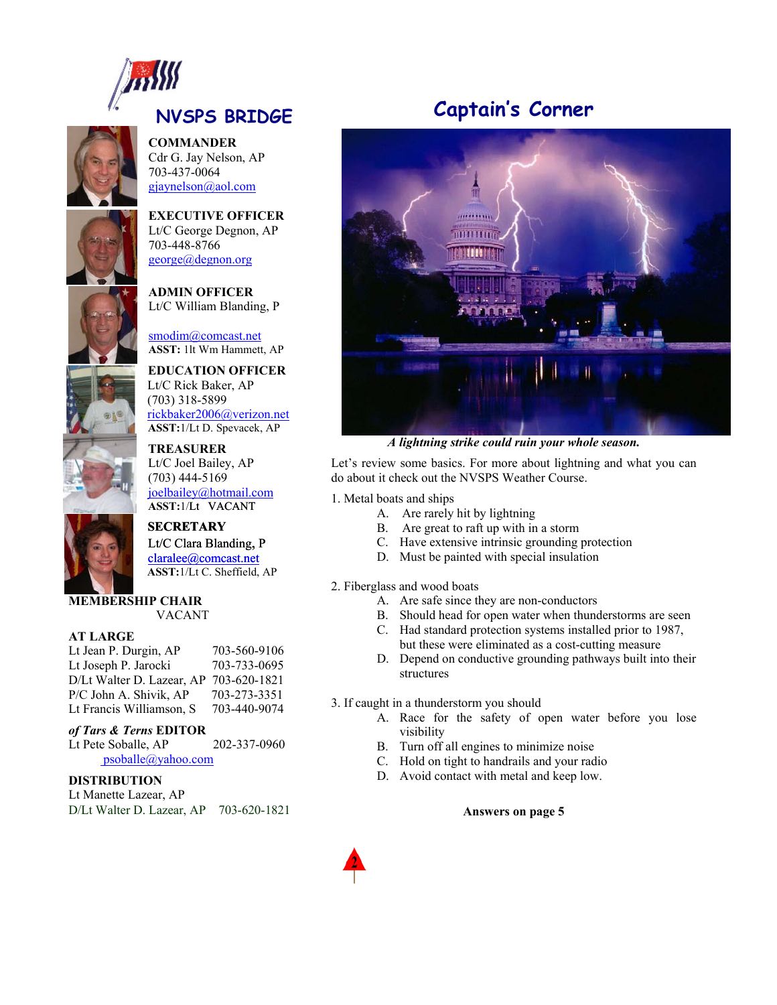

**COMMANDER** Cdr G. Jay Nelson, AP 703-437-0064 [gjaynelson@aol.com](mailto:gjaynelson@aol.com)



**EXECUTIVE OFFICER** Lt/C George Degnon, AP

703-448-8766 [george@degnon.org](mailto:george@degnon.org)

**ADMIN OFFICER**  Lt/C William Blanding, P

smodim@comcast.net ASST: 1lt Wm Hammett, AP

**EDUCATION OFFICER** Lt/C Rick Baker, AP 318-5899 (703) rickbaker2006@verizon.net ASST:1/Lt D. Spevacek, AP

**TREASURER** Lt/C Joel Bailey, AP  $(703)$  444-5169 joelbailey@hotmail.com **ASST:**1/Lt VACANT

 **SECRETARY** Lt/C Clara Blanding, P  $\text{claralee}(a)$ comcast.net  **ASST:**1/Lt C. Sheffield, AP

# **MEMBERSHIP CHAIR**

VACANT

### **AT LARGE**

Lt Jean P. Durgin, AP 703-560-9106 Lt Joseph P. Jarocki 703-733-0695 D/Lt Walter D. Lazear, AP 703-620-1821 P/C John A. Shivik, AP 703-273-3351 Lt Francis Williamson, S 703-440-9074

### *of Tars & Terns* **EDITOR**

Lt Pete Soballe, AP 202-337-0960 p[soballe@yahoo.com](mailto:psoballe@yahoo.com)

### **DISTRIBUTION**

Lt Manette Lazear, AP D/Lt Walter D. Lazear, AP 703-620-1821

# **Captain's Corner**



*A lightning strike could ruin your whole season.*

Let's review some basics. For more about lightning and what you can do about it check out the NVSPS Weather Course.

1. Metal boats and ships

- A. Are rarely hit by lightning
- B. Are great to raft up with in a storm
- C. Have extensive intrinsic grounding protection
- D. Must be painted with special insulation

. Fiberglass and wood boats 2

- A. Are safe since they are non-conductors
- B. Should head for open water when thunderstorms are seen
- C. Had standard protection systems installed prior to 1987, but these were eliminated as a cost-cutting measure
- D. Depend on conductive grounding pathways built into their structures

. If caught in a thunderstorm you should 3

- A. Race for the safety of open water before you lose visibility
- B. Turn off all engines to minimize noise
- C. Hold on tight to handrails and your radio
- D. Avoid contact with metal and keep low.

**Answers on page 5**

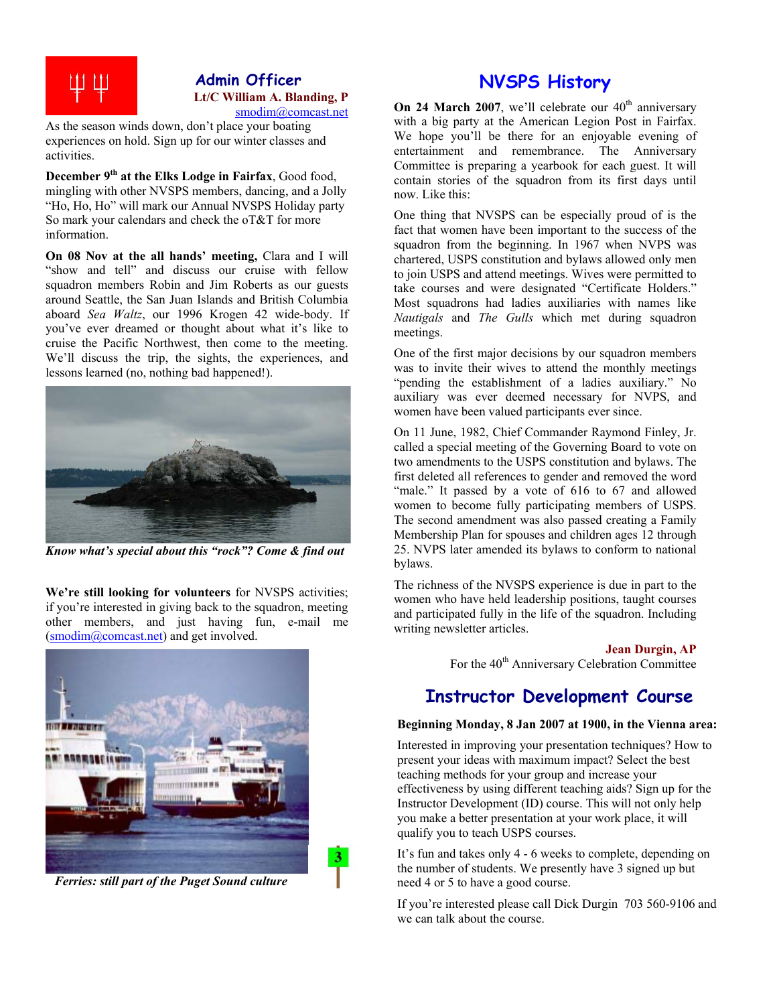

## **Admin Officer Lt/C William A. Blanding, P**  smodim@comcast.net

As the season winds down, don't place your boating experiences on hold. Sign up for our winter classes and activities.

**December 9th at the Elks Lodge in Fairfax**, Good food, mingling with other NVSPS members, dancing, and a Jolly "Ho, Ho, Ho" will mark our Annual NVSPS Holiday party So mark your calendars and check the oT&T for more information.

**On 08 Nov at the all hands' meeting,** Clara and I will "show and tell" and discuss our cruise with fellow squadron members Robin and Jim Roberts as our guests around Seattle, the San Juan Islands and British Columbia aboard *Sea Waltz*, our 1996 Krogen 42 wide-body. If you've ever dreamed or thought about what it's like to cruise the Pacific Northwest, then come to the meeting. We'll discuss the trip, the sights, the experiences, and lessons learned (no, nothing bad happened!).



*Know what's special about this "rock"? Come & find out*

**We're still looking for volunteers** for NVSPS activities; if you're interested in giving back to the squadron, meeting other members, and just having fun, e-mail me [\(smodim@comcast.net](mailto:smodim@comcast.net)) and get involved.



*Ferries: still part of the Puget Sound culture*

3

## **NVSPS History**

**On 24 March 2007**, we'll celebrate our  $40<sup>th</sup>$  anniversary with a big party at the American Legion Post in Fairfax. We hope you'll be there for an enjoyable evening of entertainment and remembrance. The Anniversary Committee is preparing a yearbook for each guest. It will contain stories of the squadron from its first days until now. Like this:

One thing that NVSPS can be especially proud of is the fact that women have been important to the success of the squadron from the beginning. In 1967 when NVPS was chartered, USPS constitution and bylaws allowed only men to join USPS and attend meetings. Wives were permitted to take courses and were designated "Certificate Holders." Most squadrons had ladies auxiliaries with names like *Nautigals* and *The Gulls* which met during squadron meetings.

One of the first major decisions by our squadron members was to invite their wives to attend the monthly meetings "pending the establishment of a ladies auxiliary." No auxiliary was ever deemed necessary for NVPS, and women have been valued participants ever since.

On 11 June, 1982, Chief Commander Raymond Finley, Jr. called a special meeting of the Governing Board to vote on two amendments to the USPS constitution and bylaws. The first deleted all references to gender and removed the word "male." It passed by a vote of 616 to 67 and allowed women to become fully participating members of USPS. The second amendment was also passed creating a Family Membership Plan for spouses and children ages 12 through 25. NVPS later amended its bylaws to conform to national bylaws.

The richness of the NVSPS experience is due in part to the women who have held leadership positions, taught courses and participated fully in the life of the squadron. Including writing newsletter articles.

**Jean Durgin, AP** 

For the 40<sup>th</sup> Anniversary Celebration Committee

## **Instructor Development Course**

#### **Beginning Monday, 8 Jan 2007 at 1900, in the Vienna area:**

Interested in improving your presentation techniques? How to present your ideas with maximum impact? Select the best teaching methods for your group and increase your effectiveness by using different teaching aids? Sign up for the Instructor Development (ID) course. This will not only help you make a better presentation at your work place, it will qualify you to teach USPS courses.

It's fun and takes only 4 - 6 weeks to complete, depending on the number of students. We presently have 3 signed up but need 4 or 5 to have a good course.

If you're interested please call Dick Durgin 703 560-9106 and we can talk about the course.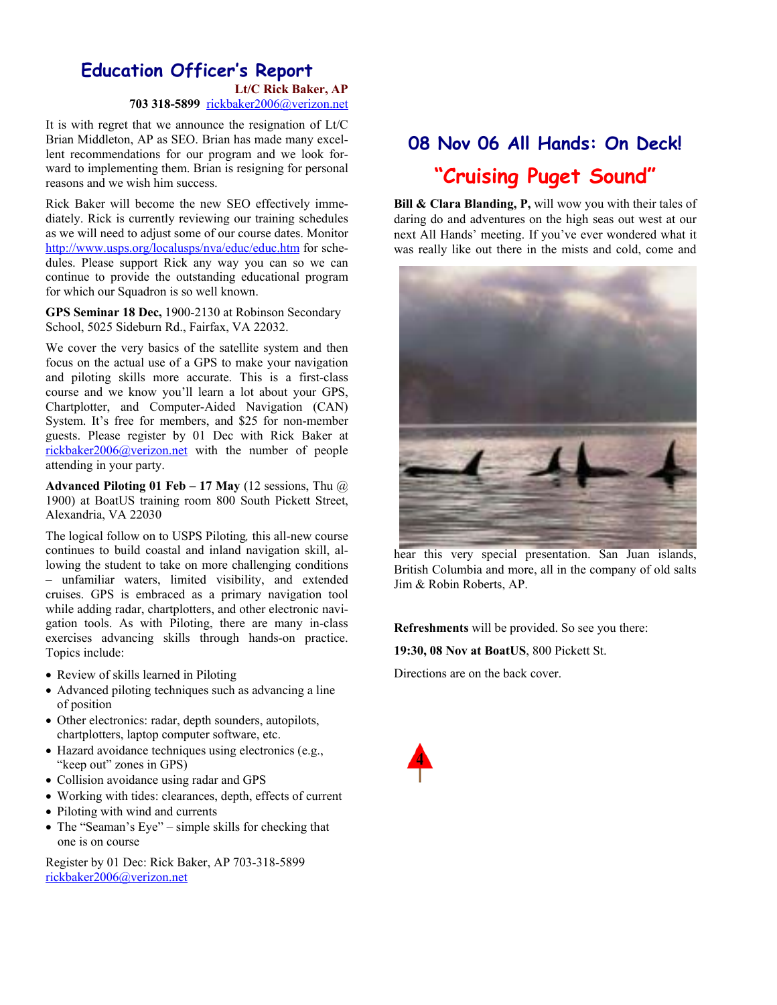## **Education Officer's Report Lt/C Rick Baker, AP**

**703 318-5899** rickbaker2006@verizon.net

It is with regret that we announce the resignation of Lt/C Brian Middleton, AP as SEO. Brian has made many excellent recommendations for our program and we look forward to implementing them. Brian is resigning for personal reasons and we wish him success.

Rick Baker will become the new SEO effectively immediately. Rick is currently reviewing our training schedules as we will need to adjust some of our course dates. Monitor <http://www.usps.org/localusps/nva/educ/educ.htm> for schedules. Please support Rick any way you can so we can continue to provide the outstanding educational program for which our Squadron is so well known.

**GPS Seminar 18 Dec,** 1900-2130 at Robinson Secondary School, 5025 Sideburn Rd., Fairfax, VA 22032.

We cover the very basics of the satellite system and then focus on the actual use of a GPS to make your navigation and piloting skills more accurate. This is a first-class course and we know you'll learn a lot about your GPS, Chartplotter, and Computer-Aided Navigation (CAN) System. It's free for members, and \$25 for non-member guests. Please register by 01 Dec with Rick Baker at [rickbaker2006@verizon.net](mailto:rickbaker2006@verizon.net) with the number of people attending in your party.

**Advanced Piloting 01 Feb – 17 May** (12 sessions, Thu @ 1900) at BoatUS training room 800 South Pickett Street, Alexandria, VA 22030

The logical follow on to USPS Piloting*,* this all-new course continues to build coastal and inland navigation skill, allowing the student to take on more challenging conditions – unfamiliar waters, limited visibility, and extended cruises. GPS is embraced as a primary navigation tool while adding radar, chartplotters, and other electronic navigation tools. As with Piloting, there are many in-class exercises advancing skills through hands-on practice. Topics include:

- Review of skills learned in Piloting
- Advanced piloting techniques such as advancing a line of position
- Other electronics: radar, depth sounders, autopilots, chartplotters, laptop computer software, etc.
- Hazard avoidance techniques using electronics (e.g., "keep out" zones in GPS)
- Collision avoidance using radar and GPS
- Working with tides: clearances, depth, effects of current • Piloting with wind and currents
- The "Seaman's Eye" simple skills for checking that one is on course

Register by 01 Dec: Rick Baker, AP 703-318-5899 [rickbaker2006@verizon.net](http://www.usps.org/localusps/nva/educ/rickbaker2006@verizon.net)

# **08 Nov 06 All Hands: On Deck! "Cruising Puget Sound"**

**Bill & Clara Blanding, P,** will wow you with their tales of daring do and adventures on the high seas out west at our next All Hands' meeting. If you've ever wondered what it was really like out there in the mists and cold, come and



British Columbia and more, all in the company of old salts Jim & Robin Roberts, AP. hear this very special presentation. San Juan islands,

**Refreshments** will be provided. So see you there:

**19:30, 08 Nov at BoatUS**, 800 Pickett St.

Directions are on the back cover.

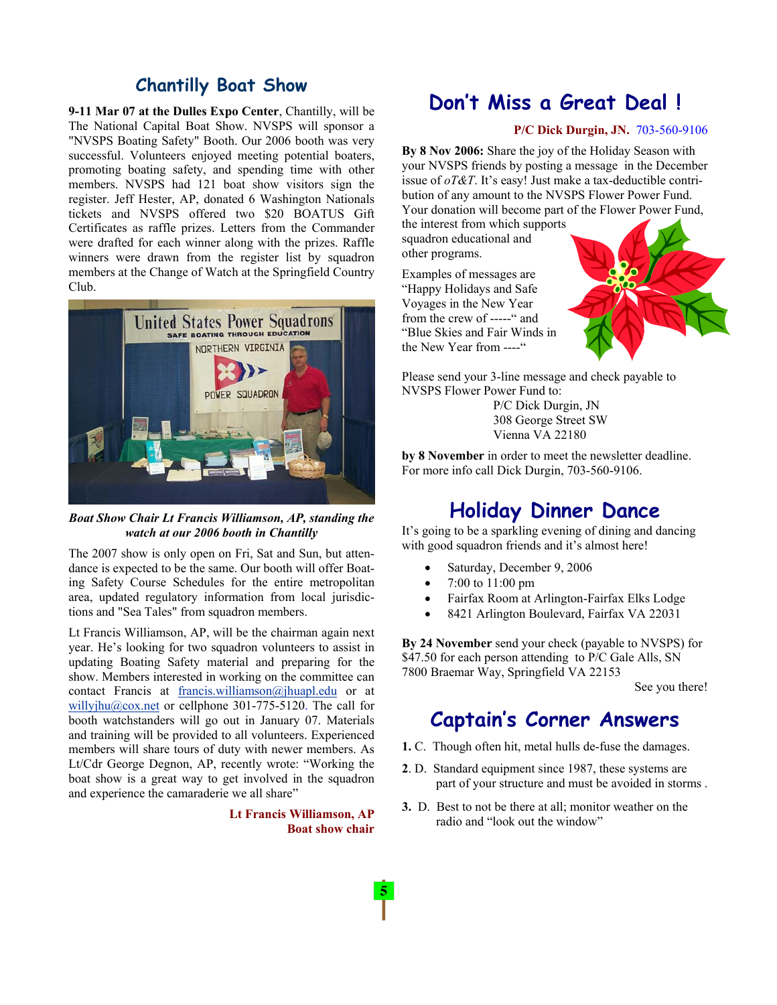## **Chantilly Boat Show**

**9-11 Mar 07 at the Dulles Expo Center**, Chantilly, will be The National Capital Boat Show. NVSPS will sponsor a "NVSPS Boating Safety" Booth. Our 2006 booth was very successful. Volunteers enjoyed meeting potential boaters, promoting boating safety, and spending time with other members. NVSPS had 121 boat show visitors sign the register. Jeff Hester, AP, donated 6 Washington Nationals tickets and NVSPS offered two \$20 BOATUS Gift Certificates as raffle prizes. Letters from the Commander were drafted for each winner along with the prizes. Raffle winners were drawn from the register list by squadron members at the Change of Watch at the Springfield Country Club.



*Boat Show Chair Lt Francis Williamson, AP, standing the watch at our 2006 booth in Chantilly* 

The 2007 show is only open on Fri, Sat and Sun, but attendance is expected to be the same. Our booth will offer Boating Safety Course Schedules for the entire metropolitan area, updated regulatory information from local jurisdictions and "Sea Tales" from squadron members.

Lt Francis Williamson, AP, will be the chairman again next year. He's looking for two squadron volunteers to assist in updating Boating Safety material and preparing for the show. Members interested in working on the committee can contact Francis at [francis.williamson@jhuapl.edu](http://us.f613.mail.yahoo.com/ym/Compose?To=francis.williamson@jhuapl.edu) or at [willyjhu@cox.net](http://us.f613.mail.yahoo.com/ym/Compose?To=willyjhu@cox.net) or cellphone 301-775-5120. The call for booth watchstanders will go out in January 07. Materials and training will be provided to all volunteers. Experienced members will share tours of duty with newer members. As Lt/Cdr George Degnon, AP, recently wrote: "Working the boat show is a great way to get involved in the squadron and experience the camaraderie we all share"

> **Lt Francis Williamson, AP Boat show chair**

# **Don't Miss a Great Deal !**

### **P/C Dick Durgin, JN.** 703-560-9106

**By 8 Nov 2006:** Share the joy of the Holiday Season with your NVSPS friends by posting a message in the December issue of *oT&T*. It's easy! Just make a tax-deductible contribution of any amount to the NVSPS Flower Power Fund. Your donation will become part of the Flower Power Fund,

the interest from which s upports squadron education al and other programs.

Examples of messages are "Blue Skies and Fair Winds in "Happy Holidays and Safe Voyages in the New Year from the crew of -----" and the New Year from ----"



Please send your 3-line message and check payable to P/C Dick Durgin, JN NVSPS Flower Power Fund to: 308 George Street SW

Vienna VA 22180

by 8 November in order to meet the newsletter deadline. For more info call Dick Durgin, 703-560-9106.

## **Holiday Dinner Dance**

It's going to be a sparkling evening of dining and dancing with good squadron friends and it's almost here!

- Saturday, December 9, 2006
- 7:00 to  $11:00 \text{ pm}$
- Fairfax Room at Arlington-Fairfax Elks Lodge
- 8421 Arlington Boulevard, Fairfax VA 22031

By 24 November send your check (payable to NVSPS) for \$47.50 for each person attending to P/C Gale Alls, SN 7800 Braemar Way, Springfield VA 22153

See you there!

## **Captain's Corner Answers**

- 1. C. Though often hit, metal hulls de-fuse the damages.
- part of your structure and must be avoided in storms. **2**. D. Standard equipment since 1987, these systems are
- **3.** D. Best to not be there at all; monitor weather on the radio and "look out the window"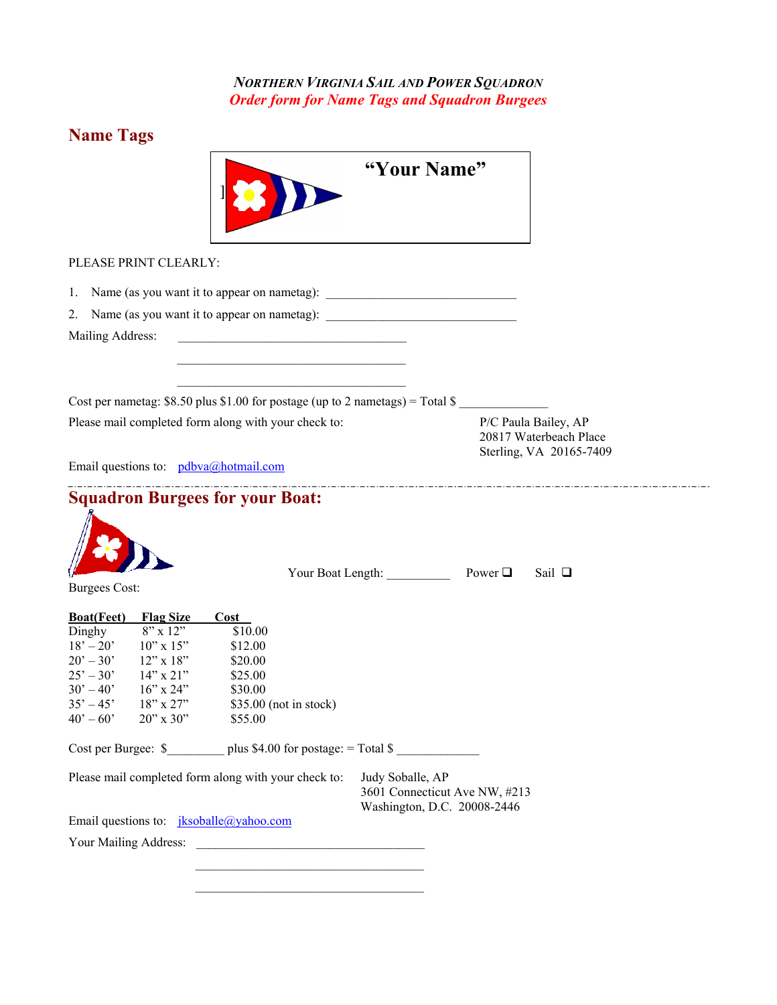*NORTHERN VIRGINIA SAIL AND POWER SQUADRON Order form for Name Tags and Squadron Burgees*

# **Name Tags**

| "Your Name"                                                                                                                                                                                                                                                                                                                                                                                                                                                                                                                                                                                                                                                                                                                                          |
|------------------------------------------------------------------------------------------------------------------------------------------------------------------------------------------------------------------------------------------------------------------------------------------------------------------------------------------------------------------------------------------------------------------------------------------------------------------------------------------------------------------------------------------------------------------------------------------------------------------------------------------------------------------------------------------------------------------------------------------------------|
| PLEASE PRINT CLEARLY:                                                                                                                                                                                                                                                                                                                                                                                                                                                                                                                                                                                                                                                                                                                                |
| 1. Name (as you want it to appear on nametag): _________________________________                                                                                                                                                                                                                                                                                                                                                                                                                                                                                                                                                                                                                                                                     |
| 2. Name (as you want it to appear on nametag): _________________________________                                                                                                                                                                                                                                                                                                                                                                                                                                                                                                                                                                                                                                                                     |
| Mailing Address:                                                                                                                                                                                                                                                                                                                                                                                                                                                                                                                                                                                                                                                                                                                                     |
|                                                                                                                                                                                                                                                                                                                                                                                                                                                                                                                                                                                                                                                                                                                                                      |
| Cost per nametag: $$8.50$ plus $$1.00$ for postage (up to 2 nametags) = Total \$                                                                                                                                                                                                                                                                                                                                                                                                                                                                                                                                                                                                                                                                     |
| Please mail completed form along with your check to:<br>P/C Paula Bailey, AP<br>20817 Waterbeach Place<br>Sterling, VA 20165-7409                                                                                                                                                                                                                                                                                                                                                                                                                                                                                                                                                                                                                    |
| Email questions to: pdbva@hotmail.com                                                                                                                                                                                                                                                                                                                                                                                                                                                                                                                                                                                                                                                                                                                |
| <b>Squadron Burgees for your Boat:</b><br>Your Boat Length: <u>Newer</u> Dower D<br>Sail $\Box$<br><b>Burgees Cost:</b>                                                                                                                                                                                                                                                                                                                                                                                                                                                                                                                                                                                                                              |
| <b>Boat(Feet)</b><br><b>Flag Size</b><br>Cost<br>$8"$ x 12"<br>Dinghy<br>\$10.00<br>$18' - 20'$<br>$10"$ x $15"$<br>\$12.00<br>$20' - 30'$<br>$12"$ x 18"<br>\$20.00<br>$25' - 30'$<br>$14"$ x 21"<br>\$25.00<br>$30^{\circ} - 40^{\circ}$<br>$16$ " x $24$ "<br>\$30.00<br>$35' - 45'$<br>18" x 27"<br>\$35.00 (not in stock)<br>$20''$ x $30''$<br>$40^{\circ} - 60^{\circ}$<br>\$55.00<br>Cost per Burgee: $\$$ plus \$4.00 for postage: = Total \$<br>Please mail completed form along with your check to:<br>Judy Soballe, AP<br>3601 Connecticut Ave NW, #213<br>Washington, D.C. 20008-2446<br>Email questions to: $iksoballe(\omega yahoo.com)$<br>the control of the control of the control of the control of the control of the control of |
|                                                                                                                                                                                                                                                                                                                                                                                                                                                                                                                                                                                                                                                                                                                                                      |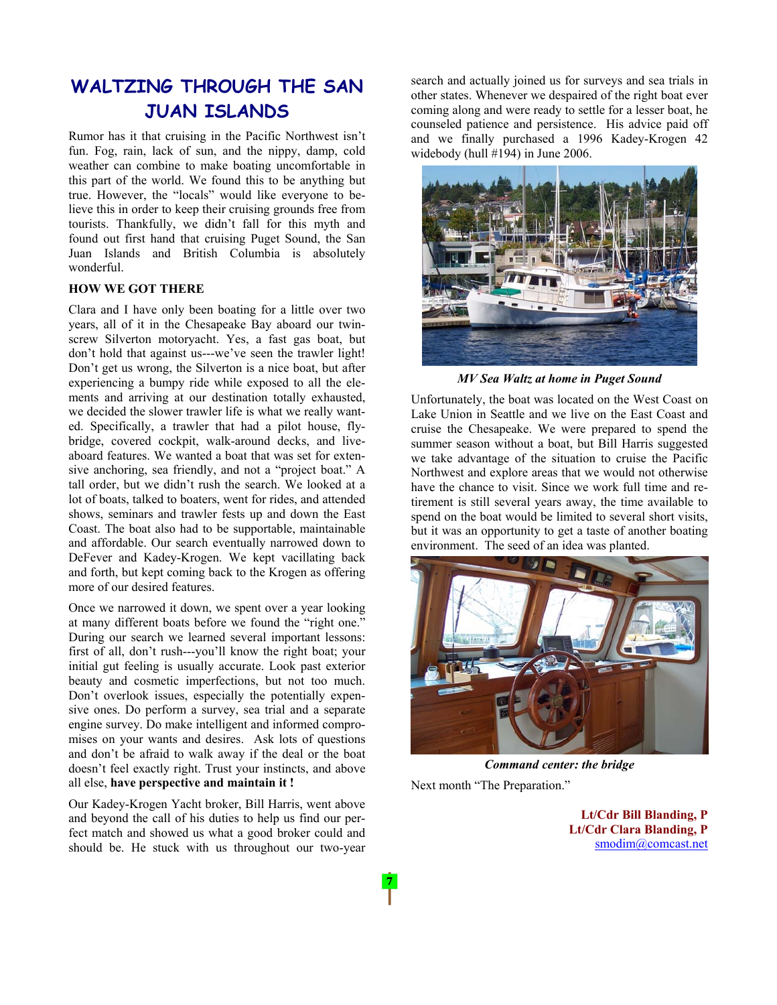# **WALTZING THROUGH THE SAN JUAN ISLANDS**

Rumor has it that cruising in the Pacific Northwest isn't fun. Fog, rain, lack of sun, and the nippy, damp, cold weather can combine to make boating uncomfortable in this part of the world. We found this to be anything but true. However, the "locals" would like everyone to believe this in order to keep their cruising grounds free from tourists. Thankfully, we didn't fall for this myth and found out first hand that cruising Puget Sound, the San Juan Islands and British Columbia is absolutely wonderful.

#### **HOW WE GOT THERE**

Clara and I have only been boating for a little over two years, all of it in the Chesapeake Bay aboard our twinscrew Silverton motoryacht. Yes, a fast gas boat, but don't hold that against us---we've seen the trawler light! Don't get us wrong, the Silverton is a nice boat, but after experiencing a bumpy ride while exposed to all the elements and arriving at our destination totally exhausted, we decided the slower trawler life is what we really wanted. Specifically, a trawler that had a pilot house, flybridge, covered cockpit, walk-around decks, and liveaboard features. We wanted a boat that was set for extensive anchoring, sea friendly, and not a "project boat." A tall order, but we didn't rush the search. We looked at a lot of boats, talked to boaters, went for rides, and attended shows, seminars and trawler fests up and down the East Coast. The boat also had to be supportable, maintainable and affordable. Our search eventually narrowed down to DeFever and Kadey-Krogen. We kept vacillating back and forth, but kept coming back to the Krogen as offering more of our desired features.

Once we narrowed it down, we spent over a year looking at many different boats before we found the "right one." During our search we learned several important lessons: first of all, don't rush---you'll know the right boat; your initial gut feeling is usually accurate. Look past exterior beauty and cosmetic imperfections, but not too much. Don't overlook issues, especially the potentially expensive ones. Do perform a survey, sea trial and a separate engine survey. Do make intelligent and informed compromises on your wants and desires. Ask lots of questions and don't be afraid to walk away if the deal or the boat doesn't feel exactly right. Trust your instincts, and above all else, **have perspective and maintain it !** 

Our Kadey-Krogen Yacht broker, Bill Harris, went above and beyond the call of his duties to help us find our perfect match and showed us what a good broker could and should be. He stuck with us throughout our two-year search and actually joined us for surveys and sea trials in other states. Whenever we despaired of the right boat ever coming along and were ready to settle for a lesser boat, he counseled patience and persistence. His advice paid off and we finally purchased a 1996 Kadey-Krogen 42 widebody (hull #194) in June 2006.



*MV Sea Waltz at home in Puget Sound*

Unfortunately, the boat was located on the West Coast on Lake Union in Seattle and we live on the East Coast and cruise the Chesapeake. We were prepared to spend the summer season without a boat, but Bill Harris suggested we take advantage of the situation to cruise the Pacific Northwest and explore areas that we would not otherwise have the chance to visit. Since we work full time and retirement is still several years away, the time available to spend on the boat would be limited to several short visits, but it was an opportunity to get a taste of another boating environment. The seed of an idea was planted.



*Command center: the bridge* Next month "The Preparation."

**Lt/Cdr Bill Blanding, P Lt/Cdr Clara Blanding, P**  smodim@comcast.net